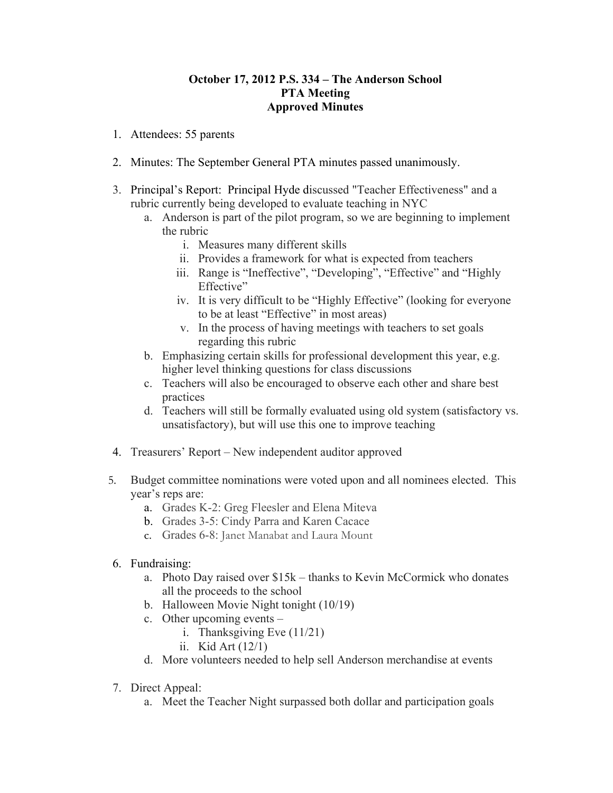## **October 17, 2012 P.S. 334 – The Anderson School PTA Meeting Approved Minutes**

- 1. Attendees: 55 parents
- 2. Minutes: The September General PTA minutes passed unanimously.
- 3. Principal's Report: Principal Hyde discussed "Teacher Effectiveness" and a rubric currently being developed to evaluate teaching in NYC
	- a. Anderson is part of the pilot program, so we are beginning to implement the rubric
		- i. Measures many different skills
		- ii. Provides a framework for what is expected from teachers
		- iii. Range is "Ineffective", "Developing", "Effective" and "Highly Effective"
		- iv. It is very difficult to be "Highly Effective" (looking for everyone to be at least "Effective" in most areas)
		- v. In the process of having meetings with teachers to set goals regarding this rubric
	- b. Emphasizing certain skills for professional development this year, e.g. higher level thinking questions for class discussions
	- c. Teachers will also be encouraged to observe each other and share best practices
	- d. Teachers will still be formally evaluated using old system (satisfactory vs. unsatisfactory), but will use this one to improve teaching
- 4. Treasurers' Report New independent auditor approved
- 5. Budget committee nominations were voted upon and all nominees elected. This year's reps are:
	- a. Grades K-2: Greg Fleesler and Elena Miteva
	- b. Grades 3-5: Cindy Parra and Karen Cacace
	- c. Grades 6-8: Janet Manabat and Laura Mount
- 6. Fundraising:
	- a. Photo Day raised over \$15k thanks to Kevin McCormick who donates all the proceeds to the school
	- b. Halloween Movie Night tonight (10/19)
	- c. Other upcoming events
		- i. Thanksgiving Eve (11/21)
		- ii. Kid Art (12/1)
	- d. More volunteers needed to help sell Anderson merchandise at events
- 7. Direct Appeal:
	- a. Meet the Teacher Night surpassed both dollar and participation goals